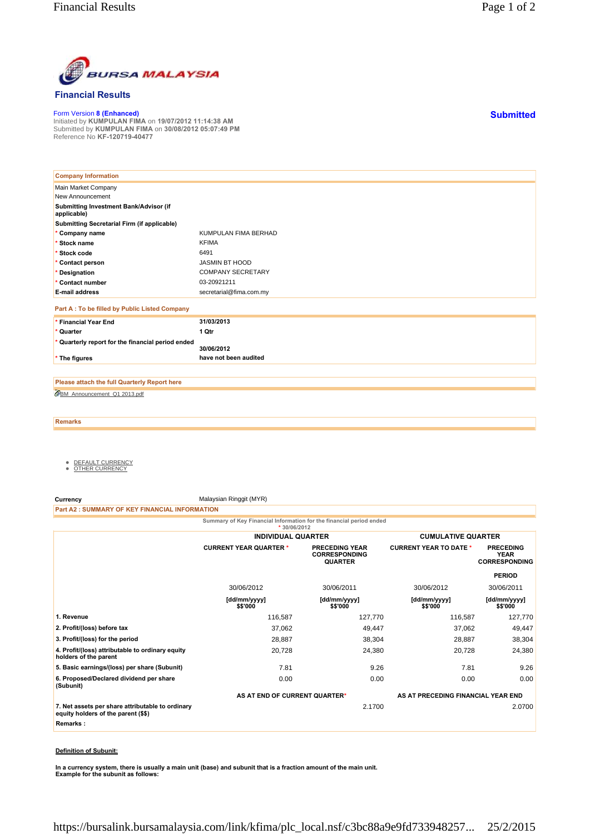

## **Financial Results**

Form Version **8 (Enhanced)** Initiated by **KUMPULAN FIMA** on **19/07/2012 11:14:38 AM** Submitted by **KUMPULAN FIMA** on **30/08/2012 05:07:49 PM** Reference No **KF-120719-40477**

| <b>Company Information</b>                            |                          |
|-------------------------------------------------------|--------------------------|
| Main Market Company                                   |                          |
| New Announcement                                      |                          |
| Submitting Investment Bank/Advisor (if<br>applicable) |                          |
| Submitting Secretarial Firm (if applicable)           |                          |
| * Company name                                        | KUMPULAN FIMA BERHAD     |
| * Stock name                                          | <b>KFIMA</b>             |
| * Stock code                                          | 6491                     |
| * Contact person                                      | <b>JASMIN BT HOOD</b>    |
| * Designation                                         | <b>COMPANY SECRETARY</b> |
| * Contact number                                      | 03-20921211              |
| <b>E-mail address</b>                                 | secretarial@fima.com.my  |
| Part A : To be filled by Public Listed Company        |                          |
| * Financial Year End                                  | 31/03/2013               |
| * Quarter                                             | 1 Qtr                    |
| * Quarterly report for the financial period ended     | 30/06/2012               |
| * The figures                                         | have not been audited    |

BM\_Announcement\_Q1 2013.pdf **Please attach the full Quarterly Report here**

**Remarks**

- <u>DEFAULT CURRENCY</u><br>● <u>OTHER CURRENCY</u>
- 

**Currency** Malaysian Ringgit (MYR)

**Part A2 : SUMMARY OF KEY FINANCIAL INFORMATION**

**Summary of Key Financial Information for the financial period ended \* 30/06/2012**

|                                                                                         | <b>INDIVIDUAL QUARTER</b>     |                                                                 | <b>CUMULATIVE QUARTER</b>          |                                                         |
|-----------------------------------------------------------------------------------------|-------------------------------|-----------------------------------------------------------------|------------------------------------|---------------------------------------------------------|
|                                                                                         | <b>CURRENT YEAR QUARTER *</b> | <b>PRECEDING YEAR</b><br><b>CORRESPONDING</b><br><b>QUARTER</b> | <b>CURRENT YEAR TO DATE *</b>      | <b>PRECEDING</b><br><b>YEAR</b><br><b>CORRESPONDING</b> |
|                                                                                         |                               |                                                                 |                                    | <b>PERIOD</b>                                           |
|                                                                                         | 30/06/2012                    | 30/06/2011                                                      | 30/06/2012                         | 30/06/2011                                              |
|                                                                                         | [dd/mm/yyyy]<br>\$\$'000      | [dd/mm/yyyy]<br>\$\$'000                                        | [dd/mm/yyyy]<br>\$\$'000           | [dd/mm/yyyy]<br>\$\$'000                                |
| 1. Revenue                                                                              | 116,587                       | 127,770                                                         | 116,587                            | 127,770                                                 |
| 2. Profit/(loss) before tax                                                             | 37,062                        | 49,447                                                          | 37,062                             | 49,447                                                  |
| 3. Profit/(loss) for the period                                                         | 28,887                        | 38,304                                                          | 28,887                             | 38,304                                                  |
| 4. Profit/(loss) attributable to ordinary equity<br>holders of the parent               | 20,728                        | 24,380                                                          | 20,728                             | 24,380                                                  |
| 5. Basic earnings/(loss) per share (Subunit)                                            | 7.81                          | 9.26                                                            | 7.81                               | 9.26                                                    |
| 6. Proposed/Declared dividend per share<br>(Subunit)                                    | 0.00                          | 0.00                                                            | 0.00                               | 0.00                                                    |
|                                                                                         | AS AT END OF CURRENT QUARTER* |                                                                 | AS AT PRECEDING FINANCIAL YEAR END |                                                         |
| 7. Net assets per share attributable to ordinary<br>equity holders of the parent (\$\$) |                               | 2.1700                                                          |                                    | 2.0700                                                  |
| Remarks:                                                                                |                               |                                                                 |                                    |                                                         |
|                                                                                         |                               |                                                                 |                                    |                                                         |

## **Definition of Subunit:**

**In a currency system, there is usually a main unit (base) and subunit that is a fraction amount of the main unit. Example for the subunit as follows:**

**Submitted**